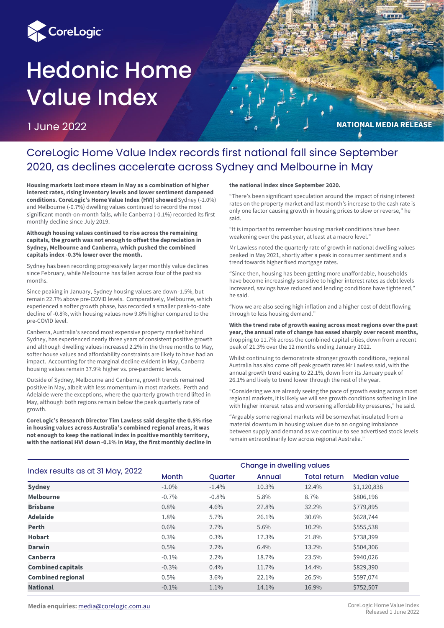

# Hedonic Home Value Index

1 June 2022



# CoreLogic Home Value Index records first national fall since September 2020, as declines accelerate across Sydney and Melbourne in May

**Housing markets lost more steam in May as a combination of higher interest rates, rising inventory levels and lower sentiment dampened conditions. CoreLogic's Home Value Index (HVI) showed** Sydney (-1.0%) and Melbourne (-0.7%) dwelling values continued to record the most significant month-on-month falls, while Canberra (-0.1%) recorded its first monthly decline since July 2019.

#### **Although housing values continued to rise across the remaining capitals, the growth was not enough to offset the depreciation in Sydney, Melbourne and Canberra, which pushed the combined capitals index -0.3% lower over the month.**

Sydney has been recording progressively larger monthly value declines since February, while Melbourne has fallen across four of the past six months.

Since peaking in January, Sydney housing values are down -1.5%, but remain 22.7% above pre-COVID levels. Comparatively, Melbourne, which experienced a softer growth phase, has recorded a smaller peak-to-date decline of -0.8%, with housing values now 9.8% higher compared to the pre-COVID level.

Canberra, Australia's second most expensive property market behind Sydney, has experienced nearly three years of consistent positive growth and although dwelling values increased 2.2% in the three months to May, softer house values and affordability constraints are likely to have had an impact. Accounting for the marginal decline evident in May, Canberra housing values remain 37.9% higher vs. pre-pandemic levels.

Outside of Sydney, Melbourne and Canberra, growth trends remained positive in May, albeit with less momentum in most markets. Perth and Adelaide were the exceptions, where the quarterly growth trend lifted in May, although both regions remain below the peak quarterly rate of growth.

**CoreLogic's Research Director Tim Lawless said despite the 0.5% rise in housing values across Australia's combined regional areas, it was not enough to keep the national index in positive monthly territory, with the national HVI down -0.1% in May, the first monthly decline in** 

#### **the national index since September 2020.**

"There's been significant speculation around the impact of rising interest rates on the property market and last month's increase to the cash rate is only one factor causing growth in housing prices to slow or reverse," he said.

"It is important to remember housing market conditions have been weakening over the past year, at least at a macro level."

Mr Lawless noted the quarterly rate of growth in national dwelling values peaked in May 2021, shortly after a peak in consumer sentiment and a trend towards higher fixed mortgage rates.

"Since then, housing has been getting more unaffordable, households have become increasingly sensitive to higher interest rates as debt levels increased, savings have reduced and lending conditions have tightened," he said.

"Now we are also seeing high inflation and a higher cost of debt flowing through to less housing demand."

**With the trend rate of growth easing across most regions over the past year, the annual rate of change has eased sharply over recent months,** dropping to 11.7% across the combined capital cities, down from a recent peak of 21.3% over the 12 months ending January 2022.

Whilst continuing to demonstrate stronger growth conditions, regional Australia has also come off peak growth rates Mr Lawless said, with the annual growth trend easing to 22.1%, down from its January peak of 26.1% and likely to trend lower through the rest of the year.

"Considering we are already seeing the pace of growth easing across most regional markets, it is likely we will see growth conditions softening in line with higher interest rates and worsening affordability pressures," he said.

"Arguably some regional markets will be somewhat insulated from a material downturn in housing values due to an ongoing imbalance between supply and demand as we continue to see advertised stock levels remain extraordinarily low across regional Australia."

| Index results as at 31 May, 2022 | Change in dwelling values |                |        |                     |                     |  |  |  |
|----------------------------------|---------------------------|----------------|--------|---------------------|---------------------|--|--|--|
|                                  | Month                     | <b>Ouarter</b> | Annual | <b>Total return</b> | <b>Median value</b> |  |  |  |
| <b>Sydney</b>                    | $-1.0\%$                  | $-1.4%$        | 10.3%  | 12.4%               | \$1,120,836         |  |  |  |
| <b>Melbourne</b>                 | $-0.7\%$                  | $-0.8%$        | 5.8%   | 8.7%                | \$806,196           |  |  |  |
| <b>Brisbane</b>                  | $0.8\%$                   | 4.6%           | 27.8%  | 32.2%               | \$779,895           |  |  |  |
| <b>Adelaide</b>                  | 1.8%                      | 5.7%           | 26.1%  | 30.6%               | \$628,744           |  |  |  |
| Perth                            | 0.6%                      | 2.7%           | 5.6%   | 10.2%               | \$555,538           |  |  |  |
| <b>Hobart</b>                    | 0.3%                      | 0.3%           | 17.3%  | 21.8%               | \$738,399           |  |  |  |
| <b>Darwin</b>                    | 0.5%                      | 2.2%           | 6.4%   | 13.2%               | \$504,306           |  |  |  |
| Canberra                         | $-0.1\%$                  | 2.2%           | 18.7%  | 23.5%               | \$940,026           |  |  |  |
| <b>Combined capitals</b>         | $-0.3\%$                  | 0.4%           | 11.7%  | 14.4%               | \$829,390           |  |  |  |
| <b>Combined regional</b>         | 0.5%                      | 3.6%           | 22.1%  | 26.5%               | \$597,074           |  |  |  |
| <b>National</b>                  | $-0.1\%$                  | 1.1%           | 14.1%  | 16.9%               | \$752,507           |  |  |  |

**Media enquiries:** [media@corelogic.com.au](mailto:media@corelogic.com.au)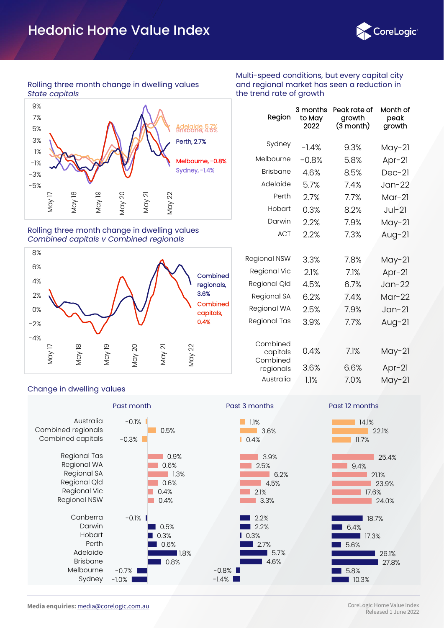

#### Rolling three month change in dwelling values *State capitals*



#### Rolling three month change in dwelling values *Combined capitals v Combined regionals*



#### Change in dwelling values



Multi-speed conditions, but every capital city and regional market has seen a reduction in the trend rate of growth

| Region                | 3 months<br>to May<br>2022 | Peak rate of<br>growth<br>$(3 \text{ month})$ | Month of<br>peak<br>growth |
|-----------------------|----------------------------|-----------------------------------------------|----------------------------|
| Sydney                | $-1.4%$                    | 9.3%                                          | $May-21$                   |
| Melbourne             | $-0.8%$                    | 5.8%                                          | Apr $-21$                  |
| <b>Brisbane</b>       | 4.6%                       | 8.5%                                          | $Dec-21$                   |
| Adelaide              | 5.7%                       | 7.4%                                          | $Jan-22$                   |
| Perth                 | 2.7%                       | 7.7%                                          | $Mar-21$                   |
| Hobart                | 0.3%                       | 8.2%                                          | $Jul-2l$                   |
| Darwin                | 2.2%                       | 7.9%                                          | $May-21$                   |
| <b>ACT</b>            | 2.2%                       | 7.3%                                          | Aug- $21$                  |
| Regional NSW          | 3.3%                       | 7.8%                                          | May-21                     |
| Regional Vic          | 2.1%                       | 7.1%                                          | $Apr-21$                   |
| Regional Qld          | 4.5%                       | 6.7%                                          | $Jan-22$                   |
| Regional SA           | 6.2%                       | 7.4%                                          | $Mar-22$                   |
| Regional WA           | 2.5%                       | 7.9%                                          | $Jan-21$                   |
| Regional Tas          | 3.9%                       | 7.7%                                          | Aug-21                     |
| Combined<br>capitals  | 0.4%                       | 7.1%                                          | May-21                     |
| Combined<br>regionals | 3.6%                       | 6.6%                                          | $Apr-21$                   |
| Australia             | 1.1%                       | 7.0%                                          | $May-21$                   |



27.8% 26.1%

10.3% 5.8%

17.3%

18.7%

17.6% 23.9% 21.1%

24.0%

25.4%

22.1%

5.6%

6.4%

ı

9.4%

11.7%

14.1%

**Media enquiries:** [media@corelogic.com.au](mailto:media@corelogic.com.au)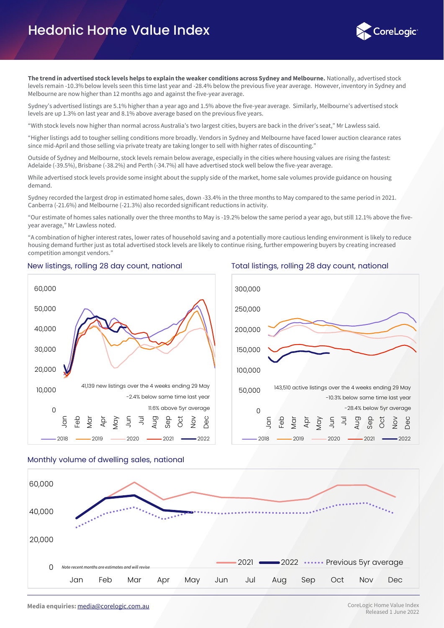

**The trend in advertised stock levels helps to explain the weaker conditions across Sydney and Melbourne.** Nationally, advertised stock levels remain -10.3% below levels seen this time last year and -28.4% below the previous five year average. However, inventory in Sydney and Melbourne are now higher than 12 months ago and against the five-year average.

Sydney's advertised listings are 5.1% higher than a year ago and 1.5% above the five-year average. Similarly, Melbourne's advertised stock levels are up 1.3% on last year and 8.1% above average based on the previous five years.

"With stock levels now higher than normal across Australia's two largest cities, buyers are back in the driver's seat," Mr Lawless said.

"Higher listings add to tougher selling conditions more broadly. Vendors in Sydney and Melbourne have faced lower auction clearance rates since mid-April and those selling via private treaty are taking longer to sell with higher rates of discounting."

Outside of Sydney and Melbourne, stock levels remain below average, especially in the cities where housing values are rising the fastest: Adelaide (-39.5%), Brisbane (-38.2%) and Perth (-34.7%) all have advertised stock well below the five-year average.

While advertised stock levels provide some insight about the supply side of the market, home sale volumes provide guidance on housing demand.

Sydney recorded the largest drop in estimated home sales, down -33.4% in the three months to May compared to the same period in 2021. Canberra (-21.6%) and Melbourne (-21.3%) also recorded significant reductions in activity.

"Our estimate of homes sales nationally over the three months to May is -19.2% below the same period a year ago, but still 12.1% above the fiveyear average," Mr Lawless noted.

"A combination of higher interest rates, lower rates of household saving and a potentially more cautious lending environment is likely to reduce housing demand further just as total advertised stock levels are likely to continue rising, further empowering buyers by creating increased competition amongst vendors."



2018 2019 2020 2021 2022





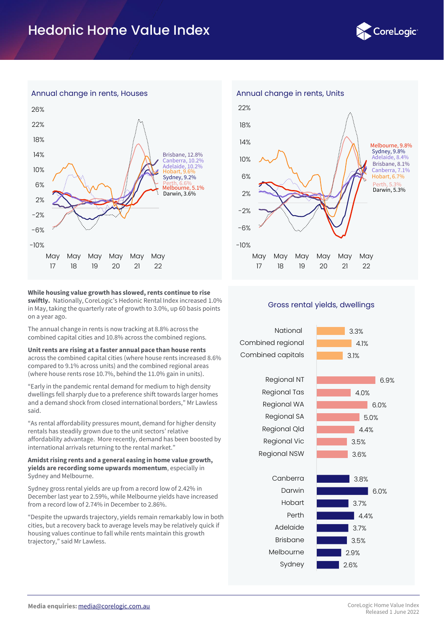



#### **While housing value growth has slowed, rents continue to rise swiftly.** Nationally, CoreLogic's Hedonic Rental Index increased 1.0% in May, taking the quarterly rate of growth to 3.0%, up 60 basis points on a year ago.

The annual change in rents is now tracking at 8.8% across the combined capital cities and 10.8% across the combined regions.

**Unit rents are rising at a faster annual pace than house rents** across the combined capital cities (where house rents increased 8.6% compared to 9.1% across units) and the combined regional areas (where house rents rose 10.7%, behind the 11.0% gain in units).

"Early in the pandemic rental demand for medium to high density dwellings fell sharply due to a preference shift towards larger homes and a demand shock from closed international borders," Mr Lawless said.

"As rental affordability pressures mount, demand for higher density rentals has steadily grown due to the unit sectors' relative affordability advantage. More recently, demand has been boosted by international arrivals returning to the rental market."

#### **Amidst rising rents and a general easing in home value growth, yields are recording some upwards momentum**, especially in Sydney and Melbourne.

Sydney gross rental yields are up from a record low of 2.42% in December last year to 2.59%, while Melbourne yields have increased from a record low of 2.74% in December to 2.86%.

"Despite the upwards trajectory, yields remain remarkably low in both cities, but a recovery back to average levels may be relatively quick if housing values continue to fall while rents maintain this growth trajectory," said Mr Lawless.



#### Gross rental yields, dwellings

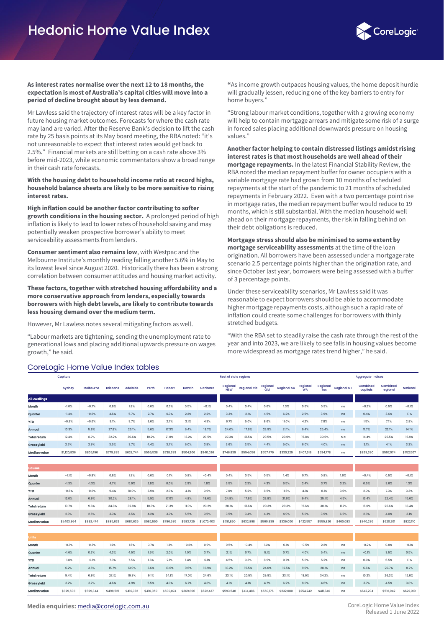

#### **As interest rates normalise over the next 12 to 18 months, the expectation is most of Australia's capital cities will move into a period of decline brought about by less demand.**

Mr Lawless said the trajectory of interest rates will be a key factor in future housing market outcomes. Forecasts for where the cash rate may land are varied. After the Reserve Bank's decision to lift the cash rate by 25 basis points at its May board meeting, the RBA noted: "it's not unreasonable to expect that interest rates would get back to 2.5%." Financial markets are still betting on a cash rate above 3% before mid-2023, while economic commentators show a broad range in their cash rate forecasts.

**With the housing debt to household income ratio at record highs, household balance sheets are likely to be more sensitive to rising interest rates.**

**High inflation could be another factor contributing to softer growth conditions in the housing sector.** A prolonged period of high inflation is likely to lead to lower rates of household saving and may potentially weaken prospective borrower's ability to meet serviceability assessments from lenders.

**Consumer sentiment also remains low**, with Westpac and the Melbourne Institute's monthly reading falling another 5.6% in May to its lowest level since August 2020. Historically there has been a strong correlation between consumer attitudes and housing market activity.

#### **These factors, together with stretched housing affordability and a more conservative approach from lenders, especially towards borrowers with high debt levels, are likely to contribute towards less housing demand over the medium term.**

However, Mr Lawless notes several mitigating factors as well.

"Labour markets are tightening, sending the unemployment rate to generational lows and placing additional upwards pressure on wages growth," he said.

CoreLogic Home Value Indox tables

**"**As income growth outpaces housing values, the home deposit hurdle will gradually lessen, reducing one of the key barriers to entry for home buyers."

"Strong labour market conditions, together with a growing economy will help to contain mortgage arrears and mitigate some risk of a surge in forced sales placing additional downwards pressure on housing values."

**Another factor helping to contain distressed listings amidst rising interest rates is that most households are well ahead of their mortgage repayments.** In the latest Financial Stability Review, the RBA noted the median repayment buffer for owner occupiers with a variable mortgage rate had grown from 10 months of scheduled repayments at the start of the pandemic to 21 months of scheduled repayments in February 2022. Even with a two percentage point rise in mortgage rates, the median repayment buffer would reduce to 19 months, which is still substantial. With the median household well ahead on their mortgage repayments, the risk in falling behind on their debt obligations is reduced.

**Mortgage stress should also be minimised to some extent by mortgage serviceability assessments** at the time of the loan origination. All borrowers have been assessed under a mortgage rate scenario 2.5 percentage points higher than the origination rate, and since October last year, borrowers were being assessed with a buffer of 3 percentage points.

Under these serviceability scenarios, Mr Lawless said it was reasonable to expect borrowers should be able to accommodate higher mortgage repayments costs, although such a rapid rate of inflation could create some challenges for borrowers with thinly stretched budgets.

"With the RBA set to steadily raise the cash rate through the rest of the year and into 2023, we are likely to see falls in housing values become more widespread as mortgage rates trend higher," he said.

| Corecogic Horrie value index tables |             |           |                 |           |           |           |           |             |                 |                              |                 |                    |                       |                 |                    |                          |                      |           |
|-------------------------------------|-------------|-----------|-----------------|-----------|-----------|-----------|-----------|-------------|-----------------|------------------------------|-----------------|--------------------|-----------------------|-----------------|--------------------|--------------------------|----------------------|-----------|
|                                     | Capitals    |           |                 |           |           |           |           |             |                 | <b>Rest of state regions</b> |                 |                    |                       |                 |                    | <b>Aggregate indices</b> |                      |           |
|                                     | Sydney      | Melbourne | <b>Brisbane</b> | Adelaide  | Perth     | Hobart    | Darwin    | Canberra    | Regional<br>NSW | <b>Regional Vic</b>          | Regional<br>Qld | <b>Regional SA</b> | Regional<br><b>WA</b> | Regional<br>Tas | <b>Regional NT</b> | Combined<br>capitals     | Combined<br>regional | National  |
| <b>All Dwellings</b>                |             |           |                 |           |           |           |           |             |                 |                              |                 |                    |                       |                 |                    |                          |                      |           |
| Month                               | $-1.0%$     | $-0.7%$   | 0.8%            | 1.8%      | 0.6%      | 0.3%      | 0.5%      | $-0.1%$     | 0.4%            | 0.4%                         | 0.6%            | 1.3%               | 0.6%                  | 0.9%            | na                 | $-0.3%$                  | 0.5%                 | $-0.1%$   |
| Quarter                             | $-1.4%$     | $-0.8%$   | 4.6%            | 5.7%      | 2.7%      | 0.3%      | 2.2%      | 2.2%        | 3.3%            | 2.1%                         | 4.5%            | 6.2%               | 2.5%                  | 3.9%            | na                 | 0.4%                     | 3.6%                 | 1.1%      |
| <b>YTD</b>                          | $-0.9%$     | $-0.6%$   | 9.1%            | 9.7%      | 3.6%      | 2.7%      | 3.1%      | 4.3%        | 6.7%            | 5.0%                         | 8.6%            | 11.0%              | 4.2%                  | 7.8%            | na                 | 1.5%                     | 7.1%                 | 2.8%      |
| Annual                              | 10.3%       | 5.8%      | 27.8%           | 26.1%     | 5.6%      | 17.3%     | 6.4%      | 18.7%       | 24.0%           | 17.6%                        | 23.9%           | 21.1%              | 9.4%                  | 25.4%           | na                 | 11.7%                    | 22.1%                | 14.1%     |
| <b>Total return</b>                 | 12.4%       | 8.7%      | 32.2%           | 30.6%     | 10.2%     | 21.8%     | 13.2%     | 23.5%       | 27.3%           | 21.5%                        | 29.5%           | 29.0%              | 15.8%                 | 30.6%           | n a                | 14.4%                    | 26.5%                | 16.9%     |
| Gross yield                         | 2.6%        | 2.9%      | 3.5%            | 3.7%      | 4.4%      | 3.7%      | 6.0%      | 3.8%        | 3.6%            | 3.5%                         | 4.4%            | 5.0%               | 6.0%                  | 4.0%            | na                 | 3.1%                     | 4.1%                 | 3.3%      |
| <b>Median value</b>                 | \$1,120,836 | \$806,196 | \$779,895       | \$628,744 | \$555,538 | \$738,399 | \$504,306 | \$940,026   | \$746,839       | \$594,056                    | \$557,479       | \$330,229          | \$407,519             | \$534,778       | na                 | \$829,390                | \$597,074            | \$752,507 |
|                                     |             |           |                 |           |           |           |           |             |                 |                              |                 |                    |                       |                 |                    |                          |                      |           |
| <b>Houses</b>                       |             |           |                 |           |           |           |           |             |                 |                              |                 |                    |                       |                 |                    |                          |                      |           |
| Month                               | $-1.1%$     | $-0.8%$   | 0.8%            | 1.9%      | 0.6%      | 0.1%      | 0.8%      | $-0.4%$     | 0.4%            | 0.5%                         | 0.5%            | 1.4%               | 0.7%                  | 0.8%            | 1.6%               | $-0.4%$                  | 0.5%                 | $-0.1%$   |
| Quarter                             | $-1.3%$     | $-1.3%$   | 4.7%            | 5.9%      | 2.8%      | 0.0%      | 2.9%      | 1.8%        | 3.5%            | 2.3%                         | 4.3%            | 6.5%               | 2.4%                  | 3.7%            | 3.2%               | 0.5%                     | 3.6%                 | 1.3%      |
| <b>YTD</b>                          | $-0.6%$     | $-0.8%$   | 9.4%            | 10.0%     | 3.9%      | 2.9%      | 4.1%      | 3.9%        | 7.0%            | 5.2%                         | 8.5%            | 11.6%              | 4.1%                  | 8.1%            | 3.6%               | 2.0%                     | 7.3%                 | 3.3%      |
| Annual                              | 12.0%       | 6.9%      | 30.2%           | 28.1%     | 5.9%      | 17.0%     | 4.8%      | 18.6%       | 24.8%           | 17.9%                        | 23.8%           | 21.6%              | 9.4%                  | 25.1%           | 4.5%               | 13.4%                    | 22.4%                | 15.6%     |
| <b>Total return</b>                 | 13.7%       | 9.6%      | 34.8%           | 32.8%     | 10.3%     | 21.3%     | 11.0%     | 23.2%       | 28.1%           | 21.6%                        | 29.3%           | 29.3%              | 15.6%                 | 30.1%           | 11.7%              | 16.0%                    | 26.6%                | 18.4%     |
| Gross yield                         | 2.3%        | 2.5%      | 3.3%            | 3.5%      | 4.2%      | 3.7%      | 5.5%      | 3.5%        | 3.5%            | 3.4%                         | 4.3%            | 4.9%               | 5.8%                  | 3.9%            | 6.6%               | 2.8%                     | 4.0%                 | 3.1%      |
| <b>Median value</b>                 | \$1,403,964 | \$992,474 | \$885,633       | \$687,635 | \$582,550 | \$796,595 | \$583,725 | \$1,070,403 | \$781,850       | \$632,898                    | \$560,939       | \$339,000          | \$422,557             | \$555,826       | \$460,083          | \$940.295                | \$620,201            | \$822,110 |
|                                     |             |           |                 |           |           |           |           |             |                 |                              |                 |                    |                       |                 |                    |                          |                      |           |
| <b>Units</b>                        |             |           |                 |           |           |           |           |             |                 |                              |                 |                    |                       |                 |                    |                          |                      |           |
| Month                               | $-0.7%$     | $-0.3%$   | 1.2%            | 1.6%      | 0.7%      | 1.3%      | $-0.2%$   | 0.9%        | 0.5%            | $-0.4%$                      | 1.2%            | 0.1%               | $-0.5%$               | 2.2%            | na                 | $-0.2%$                  | 0.8%                 | $-0.1%$   |
| Quarter                             | $-1.6%$     | 0.3%      | 4.3%            | 4.5%      | 1.5%      | 2.0%      | 1.0%      | 3.7%        | 2.1%            | 0.7%                         | 5.1%            | 0.7%               | 4.0%                  | 5.4%            | na                 | $-0.1%$                  | 3.5%                 | 0.5%      |
| <b>YTD</b>                          | $-1.8%$     | $-0.1%$   | 7.3%            | 7.5%      | 1.6%      | 2.1%      | 1.4%      | 6.1%        | 4.5%            | 3.3%                         | 8.9%            | 0.7%               | 5.8%                  | 5.2%            | na                 | 0.0%                     | 6.5%                 | 1.1%      |
| Annual                              | 6.2%        | 3.5%      | 15.7%           | 13.9%     | 3.6%      | 18.6%     | 9.6%      | 18.9%       | 18.2%           | 15.5%                        | 24.0%           | 12.5%              | 9.6%                  | 28.1%           | na                 | 6.6%                     | 20.7%                | 8.7%      |
| <b>Total return</b>                 | 9.4%        | 6.9%      | 21.1%           | 19.9%     | 9.1%      | 24.1%     | 17.0%     | 24.6%       | 23.1%           | 20.5%                        | 29.9%           | 23.1%              | 19.9%                 | 34.2%           | na                 | 10.2%                    | 26.3%                | 12.6%     |

**Grossyield** i 3.2% i 3.7% i 4.6% 4.9% 5.5% 4.0% 6.7% 4.8% i 4.1% 4.1% 4.7% 6.2% 8.0% 4.6% na i 3.7% i 4.5% 3.8%

Median value \$829,598 \$629,344 \$498,521 \$416,332 \$410,850 \$590,074 \$369,806 \$622,437 \$593,548 \$414,486 \$550,176 \$232,080 \$254,242 \$411,340 na \$647,204 \$518,042 \$622,019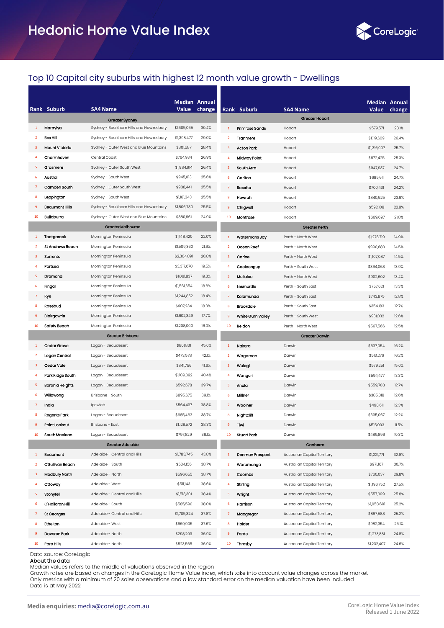

### Top 10 Capital city suburbs with highest 12 month value growth - Dwellings

|                         | Rank Suburb             | <b>SA4 Name</b>                        | <b>Median Annual</b><br>Value | change |                         | Rank Suburb         | <b>SA4 Name</b>              | Median Annual<br>Value | change |
|-------------------------|-------------------------|----------------------------------------|-------------------------------|--------|-------------------------|---------------------|------------------------------|------------------------|--------|
|                         |                         | Greater Sydney                         |                               |        |                         |                     | <b>Greater Hobart</b>        |                        |        |
| 1                       | Marayiya                | Sydney - Baulkham Hills and Hawkesbury | \$1,605,065                   | 30.4%  | $\mathbf{1}$            | Primroso Sands      | Hobart                       | \$579,571              | 28.1%  |
| $\overline{2}$          | <b>Box Hill</b>         | Sydney - Baulkham Hills and Hawkesbury | \$1,398,477                   | 29.0%  | $\overline{2}$          | Tranmere            | Hobart                       | \$1,119,609            | 26.4%  |
| 3                       | <b>Mount Victoria</b>   | Sydney - Outer West and Blue Mountains | \$801,587                     | 28.4%  | $\overline{\mathbf{3}}$ | <b>Acton Park</b>   | Hobart                       | \$1,316,007            | 25.7%  |
|                         | Charmhaven              | Central Coast                          | \$764,934                     | 26.9%  | $\overline{4}$          | <b>Midway Point</b> | Hobart                       | \$672,425              | 25.3%  |
| 5                       | Grasmere                | Sydney - Outer South West              | \$1,984,914                   | 26.4%  | 5                       | South Arm           | Hobart                       | \$947,937              | 24.7%  |
| 6                       | Austral                 | Sydney - South West                    | \$945,013                     | 25.6%  | 6                       | Carlton             | Hobart                       | \$685,611              | 24.7%  |
| $\overline{7}$          | Camden South            | Sydney - Outer South West              | \$988,441                     | 25.5%  | 7                       | Rosetta             | Hobart                       | \$700,431              | 24.2%  |
|                         | Leppington              | Sydney - South West                    | \$1,161,343                   | 25.5%  | 8                       | Howran              | Hobart                       | \$840,525              | 23.6%  |
|                         | <b>Beaumont Hills</b>   | Sydney - Baulkham Hills and Hawkesbury | \$1,806,780                   | 25.5%  | $\overline{9}$          | Chigwell            | Hobart                       | \$592,108              | 22.8%  |
| 10                      | <b>Bullaburra</b>       | Sydney - Outer West and Blue Mountains | \$880,961                     | 24.9%  | 10                      | Montrose            | Hobart                       | \$669,697              | 21.8%  |
|                         |                         | <b>Greater Melbourne</b>               |                               |        |                         |                     | <b>Greater Perth</b>         |                        |        |
| 1                       | Tootgarook              | Mornington Peninsula                   | \$1,148,420                   | 22.0%  | $\mathbf{1}$            | Watermans Bay       | Perth - North West           | \$1,276,719            | 14.9%  |
| $\overline{2}$          | <b>St Andrews Beach</b> | Mornington Peninsula                   | \$1,509,360                   | 21.6%  | $\overline{2}$          | Ocean Reef          | Perth - North West           | \$990,680              | 14.5%  |
| 3                       | Sorrento                | Mornington Peninsula                   | \$2,304,891                   | 20.8%  | $\overline{\mathbf{3}}$ | Carine              | Perth - North West           | \$1,107,087            | 14.5%  |
|                         | Portsoa                 | Mornington Peninsula                   | \$3,317,670                   | 19.5%  | $\overline{4}$          | Cooloongup          | Perth - South West           | \$364,068              | 13.9%  |
| 5                       | Dromana                 | Mornington Peninsula                   | \$1,061,837                   | 19.3%  | 5                       | Mullaloo            | Perth - North West           | \$902,602              | 13.4%  |
| 6                       | Fingal                  | Mornington Peninsula                   | \$1,561,654                   | 18.8%  | 6                       | Lesmurdie           | Perth - South East           | \$757,621              | 13.3%  |
| $\overline{7}$          | Rye                     | Mornington Peninsula                   | \$1,244,852                   | 18.4%  | $\overline{7}$          | Kalamunda           | Perth - South East           | \$743,875              | 12.8%  |
| 8                       | Rosebud                 | Mornington Peninsula                   | \$907,234                     | 18.3%  | 8                       | <b>Brookdale</b>    | Perth - South East           | \$354,183              | 12.7%  |
| 9                       | Blairgowrie             | Mornington Peninsula                   | \$1,602,349                   | 17.7%  | $\overline{9}$          | White Gum Valley    | Perth - South West           | \$931,032              | 12.6%  |
| 10                      | <b>Safety Beach</b>     | Mornington Peninsula                   | \$1,208,000                   | 16.0%  | 10                      | Beldon              | Perth - North West           | \$567,566              | 12.5%  |
|                         |                         | <b>Greater Brisbane</b>                |                               |        |                         |                     | <b>Greater Darwin</b>        |                        |        |
|                         | Cedar Grove             | Logan - Beaudesert                     | \$801,831                     | 45.0%  | $\mathbf{1}$            | Nakara              | Darwin                       | \$637,054              | 16.2%  |
| $\overline{\mathbf{2}}$ | Logan Central           | Logan - Beaudesert                     | \$473,578                     | 42.1%  | $\overline{2}$          | Wagaman             | Darwin                       | \$513,276              | 16.2%  |
| 3                       | Cedar Vale              | Logan - Beaudesert                     | \$841,756                     | 41.6%  | $\overline{\mathbf{3}}$ | Wulagi              | Darwin                       | \$579,251              | 15.0%  |
| 4                       | Park Ridge South        | Logan - Beaudesert                     | \$1,109,092                   | 40.4%  | $\overline{4}$          | Wanguri             | Darwin                       | \$594,477              | 13.3%  |
| 5                       | <b>Boronia Heights</b>  | Logan - Beaudesert                     | \$592,678                     | 39.7%  | 5                       | Anula               | Darwin                       | \$559,708              | 12.7%  |
| -6                      | Willawong               | Brisbane - South                       | \$895,675                     | 39.1%  | 6                       | Millnor             | Darwin                       | \$385,018              | 12.6%  |
| $\overline{7}$          | Inala                   | Ipswich                                | \$564,497                     | 38.8%  | 7                       | Woolner             | Darwin                       | \$490,611              | 12.3%  |
| 8                       | Regents Park            | Logan - Beaudesert                     | \$685,463                     | 38.7%  | 8                       | Nightcliff          | Darwin                       | \$395,067              | 12.2%  |
|                         | Point Lookout           | Brisbane - East                        | \$1,128,572                   | 38.3%  | 9                       | Tiwi                | Darwin                       | \$515,003              | 11.5%  |
| 10                      | South Maclean           | Logan - Beaudesert                     | \$797,829                     | 38.1%  | 10                      | <b>Stuart Park</b>  | Darwin                       | \$489,896              | 10.3%  |
|                         |                         | <b>Greater Adelaide</b>                |                               |        |                         |                     | Canberra                     |                        |        |
| $\mathbf{1}$            | Beaumont                | Adelaide - Central and Hills           | \$1,783,745                   | 43.8%  | $\mathbf{1}$            | Denman Prospect     | Australian Capital Territory | \$1,221,771            | 32.9%  |
| $\overline{2}$          | O'Sullivan Beach        | Adelaide - South                       | \$534,156                     | 38.7%  | $\overline{2}$          | Waramanga           | Australian Capital Territory | \$971,167              | 30.7%  |
| 3                       | <b>Modbury North</b>    | Adelaide - North                       | \$596,655                     | 38.7%  | $\overline{3}$          | Coombs              | Australian Capital Territory | \$760,037              | 29.8%  |
| 4                       | Ottoway                 | Adelaide - West                        | \$511,143                     | 38.6%  | 4                       | Stirling            | Australian Capital Territory | \$1,196,752            | 27.5%  |
| 5                       | Stonyfell               | Adelaide - Central and Hills           | \$1,513,301                   | 38.4%  | 5                       | Wright              | Australian Capital Territory | \$557,399              | 25.8%  |
| 6                       | O'Halloran Hill         | Adelaide - South                       | \$585,590                     | 38.0%  | 6                       | Harrison            | Australian Capital Territory | \$1,058,691            | 25.2%  |
| $\overline{7}$          | St Georges              | Adelaide - Central and Hills           | \$1,705,324                   | 37.8%  | 7                       | Macgregor           | Australian Capital Territory | \$887,588              | 25.2%  |
| 8                       | Ethelton                | Adelaide - West                        | \$669,905                     | 37.6%  | 8                       | <b>Holder</b>       | Australian Capital Territory | \$982,354              | 25.1%  |
| 9                       | Davoren Park            | Adelaide - North                       | \$298,209                     | 36.9%  | $\overline{9}$          | Forde               | Australian Capital Territory | \$1,273,881            | 24.8%  |
| 10                      | Para Hills              | Adelaide - North                       | \$523,565                     | 36.9%  | 10                      | Throsby             | Australian Capital Territory | \$1,232,407            | 24.6%  |

Data source: CoreLogic

#### About the data

Median values refers to the middle of valuations observed in the region

Growth rates are based on changes in the CoreLogic Home Value index, which take into account value changes across the market Only metrics with a minimum of 20 sales observations and a low standard error on the median valuation have been included Data is at May 2022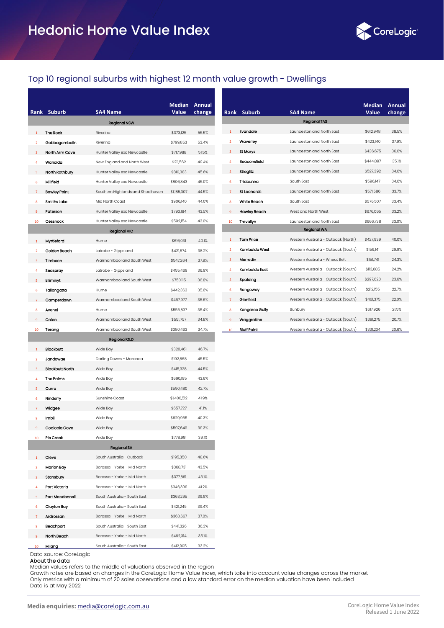

## Top 10 regional suburbs with highest 12 month value growth - Dwellings

|                         | Rank Suburb            | <b>SA4 Name</b>                                             | <b>Median</b><br><b>Value</b> | <b>Annual</b><br>change |
|-------------------------|------------------------|-------------------------------------------------------------|-------------------------------|-------------------------|
|                         |                        | <b>Regional NSW</b>                                         |                               |                         |
| $\mathbf{1}$            | <b>The Rock</b>        | Riverina                                                    | \$373,125                     | 55.5%                   |
| $\overline{\mathbf{2}}$ | Gobbagombalin          | Riverina                                                    | \$799,853                     | 53.4%                   |
| 3                       | North Arm Cove         | Hunter Valley exc Newcastle                                 | \$717,988                     | 51.5%                   |
| 4                       | Warialda               | New England and North West                                  | \$211,562                     | 49.4%                   |
| 5                       | North Rothbury         | Hunter Valley exc Newcastle                                 | \$810,383                     | 45.6%                   |
| 6                       | Millfiold              | Hunter Valley exc Newcastle                                 | \$806,843                     | 45.0%                   |
| 7                       | <b>Bawley Point</b>    | Southern Highlands and Shoalhaven                           | \$1,185,307                   | 44.5%                   |
| 8                       | <b>Smiths Lake</b>     | Mid North Coast                                             | \$906,140                     | 44.0%                   |
| 9                       | Paterson               | Hunter Valley exc Newcastle                                 | \$793,184                     | 43.5%                   |
| 10                      | Cessnock               | Hunter Valley exc Newcastle                                 | \$592,154                     | 43.0%                   |
|                         |                        | <b>Regional VIC</b>                                         |                               |                         |
| $\mathbf{1}$            | Myrtleford             | Hume                                                        | \$616,031                     | 40.1%                   |
| $\overline{2}$          | Golden Beach           | Latrobe - Gippsland                                         | \$421,574                     | 38.2%                   |
| 3                       | Timboon                | Warrnambool and South West                                  | \$547,264                     | 37.9%                   |
| 4                       | Seaspray               | Latrobe - Gippsland                                         | \$455,469                     | 36.9%                   |
| 5                       | Elliminyt              | Warrnambool and South West                                  | \$750,115                     | 36.8%                   |
| 6                       | Tallangatta            | Hume                                                        | \$442,363                     | 35.6%                   |
|                         | Camperdown             | Warrnambool and South West                                  | \$467,977                     | 35.6%                   |
| $\mathbf{8}$            | Avenel                 | Hume                                                        | \$555,837                     | 35.4%                   |
| 9                       | Colac                  | Warrnambool and South West                                  | \$551,757                     | 34.8%                   |
| 10                      | Terang                 | Warrnambool and South West                                  | \$380,463                     | 34.7%                   |
|                         |                        | <b>Regional QLD</b>                                         |                               |                         |
| 1                       | <b>Blackbutt</b>       | Wide Bay                                                    | \$320,461                     | 46.7%                   |
| $\overline{2}$          | Jandowae               | Darling Downs - Maranoa                                     | \$192,868                     | 45.5%                   |
| 3                       | <b>Blackbutt North</b> | Wide Bay                                                    | \$415,328                     | 44.5%                   |
| 4                       | The Palms              | Wide Bay                                                    | \$690,195                     | 43.6%                   |
| 5                       | Curra                  | Wide Bay                                                    | \$590,480                     | 42.7%                   |
| 6                       | Ninderry               | Sunshine Coast                                              | \$1,406,512                   | 41.9%                   |
|                         | Widgee                 | Wide Bay                                                    | \$657,727                     | 41.1%                   |
| 8                       | Imbil                  | Wide Bay                                                    | \$629,965                     | 40.3%                   |
|                         | Cooloola Cove          | Wide Bay                                                    | \$597,649                     | 39.3%                   |
| 10                      | Pie Creek              | Wide Bay                                                    | \$778,991                     | 39.1%                   |
|                         |                        | <b>Regional SA</b>                                          |                               |                         |
| 1                       | Cleve                  | South Australia - Outback                                   | \$195,350                     | 48.6%                   |
| $\overline{2}$          | Marion Bay             | Barossa - Yorke - Mid North                                 | \$368,731                     | 43.5%                   |
| 3                       | Stansbury              | Barossa - Yorke - Mid North                                 | \$377,861                     | 43.1%                   |
| 4                       | Port Victoria          | Barossa - Yorke - Mid North                                 | \$346,399                     | 41.2%                   |
| 5                       | Port Macdonnell        | South Australia - South East                                | \$363,295                     | 39.9%                   |
| 6                       | Clayton Bay            | South Australia - South East                                | \$421,245                     | 39.4%                   |
|                         | Ardrossan              | Barossa - Yorke - Mid North                                 | \$363,667                     | 37.0%                   |
| 8                       | Beachport              | South Australia - South East                                | \$441,326                     | 36.3%                   |
| 9<br>10                 | North Beach<br>Milang  | Barossa - Yorke - Mid North<br>South Australia - South East | \$462,314<br>\$412,905        | 35.1%<br>33.2%          |

|                |                    |                                     | <b>Median</b> | Annual |
|----------------|--------------------|-------------------------------------|---------------|--------|
|                | Rank Suburb        | <b>SA4 Name</b>                     | Value         | change |
|                |                    | <b>Regional TAS</b>                 |               |        |
| 1              | Evandale           | Launceston and North East           | \$612,948     | 38.5%  |
| $\mathcal{P}$  | Waverley           | Launceston and North East           | \$423,140     | 37.9%  |
| 3              | St Marys           | Launceston and North East           | \$436,675     | 36.6%  |
| Δ              | Beaconsfield       | Launceston and North East           | \$444.897     | 35.1%  |
| 5.             | Stieglitz          | Launceston and North East           | \$527,392     | 34.6%  |
| 6              | Triabunna          | South Fast                          | \$596,147     | 34.6%  |
| $\overline{7}$ | St Leonards        | I aunceston and North Fast          | \$571,586     | 33.7%  |
| 8              | White Beach        | South East                          | \$576,507     | 33.4%  |
| 9              | Hawley Beach       | West and North West                 | \$676,065     | 33.2%  |
| 10             | Trevallyn          | <b>Launceston and North Fast</b>    | \$666,738     | 33.0%  |
|                |                    | <b>Regional WA</b>                  |               |        |
| 1              | <b>Tom Price</b>   | Western Australia - Outback (North) | \$427,939     | 40.0%  |
| $\mathcal{P}$  | Kambalda West      | Western Australia - Outback (South) | \$156,141     | 29.9%  |
| $\overline{3}$ | Merredin           | Western Australia - Wheat Belt      | \$151.741     | 24.3%  |
| 4              | Kambalda East      | Western Australia - Outback (South) | \$113,685     | 24.2%  |
| 5              | Spalding           | Western Australia - Outback (South) | \$297,620     | 23.6%  |
| 6.             | Rangeway           | Western Australia - Outback (South) | \$212,155     | 22.7%  |
| $\overline{7}$ | Glenfield          | Western Australia - Outback (South) | \$461,375     | 22.0%  |
| 8              | Kangaroo Gully     | Bunbury                             | \$617,926     | 21.5%  |
| 9              | Waggrakine         | Western Australia - Outback (South) | \$391,275     | 20.7%  |
| 10             | <b>Bluff Point</b> | Western Australia - Outback (South) | \$331,234     | 20.6%  |

Data source: CoreLogic

About the data

Median values refers to the middle of valuations observed in the region

Growth rates are based on changes in the CoreLogic Home Value index, which take into account value changes across the market Only metrics with a minimum of 20 sales observations and a low standard error on the median valuation have been included Data is at May 2022